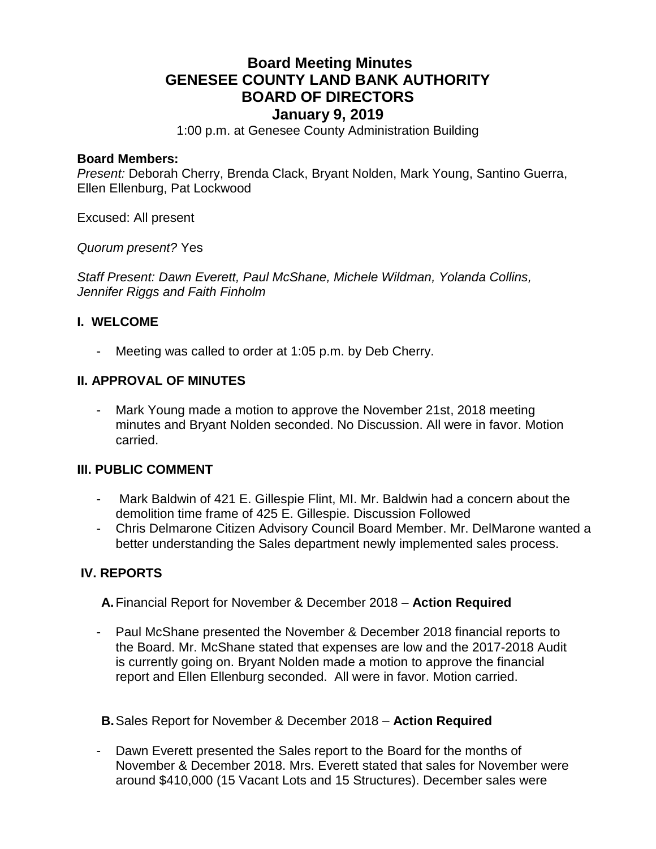# **Board Meeting Minutes GENESEE COUNTY LAND BANK AUTHORITY BOARD OF DIRECTORS January 9, 2019**

1:00 p.m. at Genesee County Administration Building

### **Board Members:**

*Present:* Deborah Cherry, Brenda Clack, Bryant Nolden, Mark Young, Santino Guerra, Ellen Ellenburg, Pat Lockwood

Excused: All present

*Quorum present?* Yes

*Staff Present: Dawn Everett, Paul McShane, Michele Wildman, Yolanda Collins, Jennifer Riggs and Faith Finholm*

### **I. WELCOME**

Meeting was called to order at 1:05 p.m. by Deb Cherry.

### **II. APPROVAL OF MINUTES**

- Mark Young made a motion to approve the November 21st, 2018 meeting minutes and Bryant Nolden seconded. No Discussion. All were in favor. Motion carried.

### **III. PUBLIC COMMENT**

- Mark Baldwin of 421 E. Gillespie Flint, MI. Mr. Baldwin had a concern about the demolition time frame of 425 E. Gillespie. Discussion Followed
- Chris Delmarone Citizen Advisory Council Board Member. Mr. DelMarone wanted a better understanding the Sales department newly implemented sales process.

### **IV. REPORTS**

**A.**Financial Report for November & December 2018 – **Action Required**

- Paul McShane presented the November & December 2018 financial reports to the Board. Mr. McShane stated that expenses are low and the 2017-2018 Audit is currently going on. Bryant Nolden made a motion to approve the financial report and Ellen Ellenburg seconded. All were in favor. Motion carried.
- **B.**Sales Report for November & December 2018 **Action Required**
- Dawn Everett presented the Sales report to the Board for the months of November & December 2018. Mrs. Everett stated that sales for November were around \$410,000 (15 Vacant Lots and 15 Structures). December sales were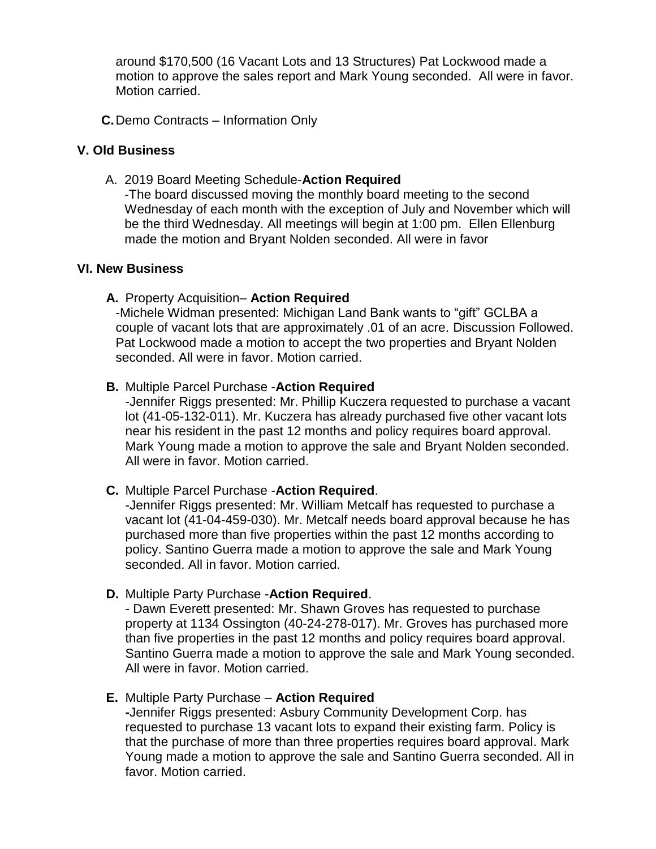around \$170,500 (16 Vacant Lots and 13 Structures) Pat Lockwood made a motion to approve the sales report and Mark Young seconded. All were in favor. Motion carried.

**C.**Demo Contracts – Information Only

### **V. Old Business**

A. 2019 Board Meeting Schedule-**Action Required**

-The board discussed moving the monthly board meeting to the second Wednesday of each month with the exception of July and November which will be the third Wednesday. All meetings will begin at 1:00 pm. Ellen Ellenburg made the motion and Bryant Nolden seconded. All were in favor

### **VI. New Business**

**A.** Property Acquisition– **Action Required**

-Michele Widman presented: Michigan Land Bank wants to "gift" GCLBA a couple of vacant lots that are approximately .01 of an acre. Discussion Followed. Pat Lockwood made a motion to accept the two properties and Bryant Nolden seconded. All were in favor. Motion carried.

### **B.** Multiple Parcel Purchase -**Action Required**

-Jennifer Riggs presented: Mr. Phillip Kuczera requested to purchase a vacant lot (41-05-132-011). Mr. Kuczera has already purchased five other vacant lots near his resident in the past 12 months and policy requires board approval. Mark Young made a motion to approve the sale and Bryant Nolden seconded. All were in favor. Motion carried.

### **C.** Multiple Parcel Purchase -**Action Required**.

-Jennifer Riggs presented: Mr. William Metcalf has requested to purchase a vacant lot (41-04-459-030). Mr. Metcalf needs board approval because he has purchased more than five properties within the past 12 months according to policy. Santino Guerra made a motion to approve the sale and Mark Young seconded. All in favor. Motion carried.

### **D.** Multiple Party Purchase -**Action Required**.

- Dawn Everett presented: Mr. Shawn Groves has requested to purchase property at 1134 Ossington (40-24-278-017). Mr. Groves has purchased more than five properties in the past 12 months and policy requires board approval. Santino Guerra made a motion to approve the sale and Mark Young seconded. All were in favor. Motion carried.

### **E.** Multiple Party Purchase – **Action Required**

**-**Jennifer Riggs presented: Asbury Community Development Corp. has requested to purchase 13 vacant lots to expand their existing farm. Policy is that the purchase of more than three properties requires board approval. Mark Young made a motion to approve the sale and Santino Guerra seconded. All in favor. Motion carried.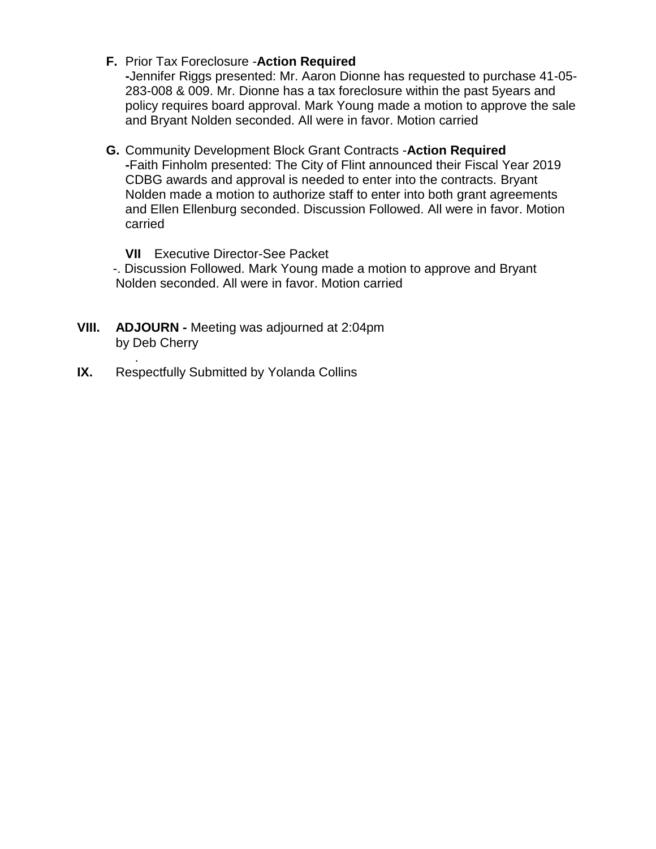### **F.** Prior Tax Foreclosure -**Action Required**

**-**Jennifer Riggs presented: Mr. Aaron Dionne has requested to purchase 41-05- 283-008 & 009. Mr. Dionne has a tax foreclosure within the past 5years and policy requires board approval. Mark Young made a motion to approve the sale and Bryant Nolden seconded. All were in favor. Motion carried

## **G.** Community Development Block Grant Contracts -**Action Required**

**-**Faith Finholm presented: The City of Flint announced their Fiscal Year 2019 CDBG awards and approval is needed to enter into the contracts. Bryant Nolden made a motion to authorize staff to enter into both grant agreements and Ellen Ellenburg seconded. Discussion Followed. All were in favor. Motion carried

**VII** Executive Director-See Packet

 -. Discussion Followed. Mark Young made a motion to approve and Bryant Nolden seconded. All were in favor. Motion carried

- **VIII. ADJOURN -** Meeting was adjourned at 2:04pm by Deb Cherry
- . **IX.** Respectfully Submitted by Yolanda Collins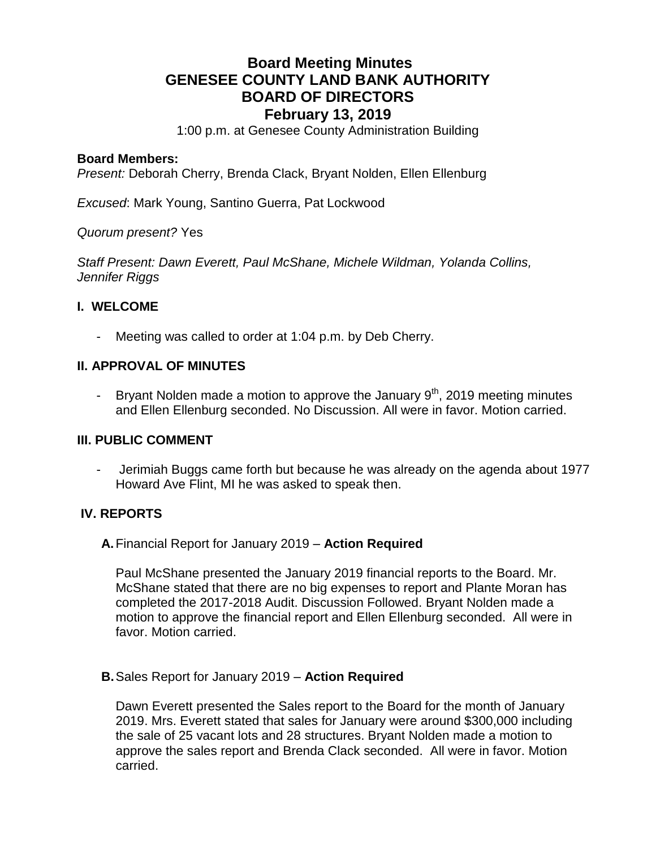# **Board Meeting Minutes GENESEE COUNTY LAND BANK AUTHORITY BOARD OF DIRECTORS February 13, 2019**

1:00 p.m. at Genesee County Administration Building

### **Board Members:**

*Present:* Deborah Cherry, Brenda Clack, Bryant Nolden, Ellen Ellenburg

*Excused*: Mark Young, Santino Guerra, Pat Lockwood

*Quorum present?* Yes

*Staff Present: Dawn Everett, Paul McShane, Michele Wildman, Yolanda Collins, Jennifer Riggs* 

### **I. WELCOME**

Meeting was called to order at 1:04 p.m. by Deb Cherry.

### **II. APPROVAL OF MINUTES**

- Bryant Nolden made a motion to approve the January  $9<sup>th</sup>$ , 2019 meeting minutes and Ellen Ellenburg seconded. No Discussion. All were in favor. Motion carried.

### **III. PUBLIC COMMENT**

- Jerimiah Buggs came forth but because he was already on the agenda about 1977 Howard Ave Flint, MI he was asked to speak then.

### **IV. REPORTS**

### **A.**Financial Report for January 2019 – **Action Required**

Paul McShane presented the January 2019 financial reports to the Board. Mr. McShane stated that there are no big expenses to report and Plante Moran has completed the 2017-2018 Audit. Discussion Followed. Bryant Nolden made a motion to approve the financial report and Ellen Ellenburg seconded. All were in favor. Motion carried.

### **B.**Sales Report for January 2019 – **Action Required**

Dawn Everett presented the Sales report to the Board for the month of January 2019. Mrs. Everett stated that sales for January were around \$300,000 including the sale of 25 vacant lots and 28 structures. Bryant Nolden made a motion to approve the sales report and Brenda Clack seconded. All were in favor. Motion carried.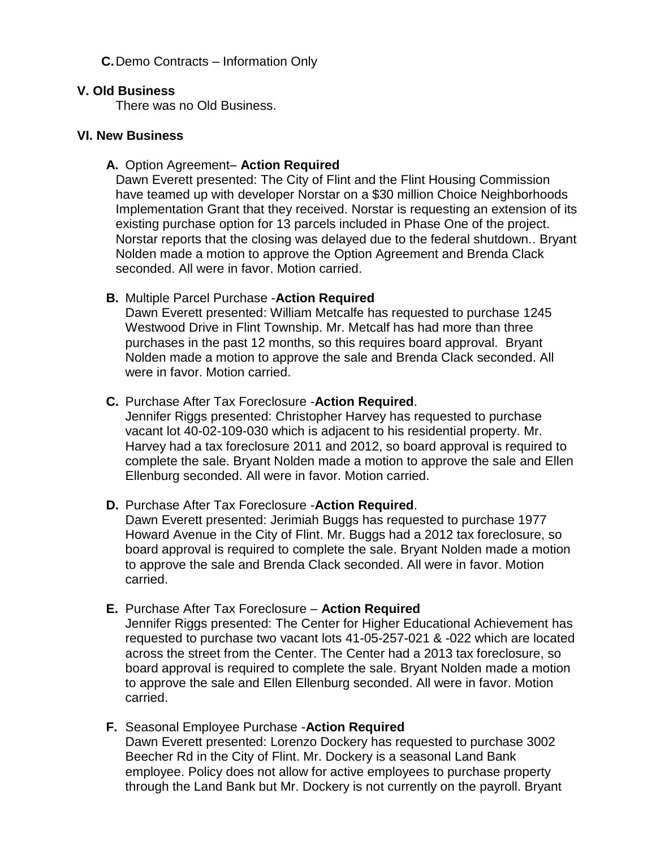### **C.**Demo Contracts – Information Only

### **V. Old Business**

There was no Old Business.

### **VI. New Business**

### **A.** Option Agreement– **Action Required**

Dawn Everett presented: The City of Flint and the Flint Housing Commission have teamed up with developer Norstar on a \$30 million Choice Neighborhoods Implementation Grant that they received. Norstar is requesting an extension of its existing purchase option for 13 parcels included in Phase One of the project. Norstar reports that the closing was delayed due to the federal shutdown.. Bryant Nolden made a motion to approve the Option Agreement and Brenda Clack seconded. All were in favor. Motion carried.

### **B.** Multiple Parcel Purchase -**Action Required**

Dawn Everett presented: William Metcalfe has requested to purchase 1245 Westwood Drive in Flint Township. Mr. Metcalf has had more than three purchases in the past 12 months, so this requires board approval. Bryant Nolden made a motion to approve the sale and Brenda Clack seconded. All were in favor. Motion carried.

### **C.** Purchase After Tax Foreclosure -**Action Required**.

Jennifer Riggs presented: Christopher Harvey has requested to purchase vacant lot 40-02-109-030 which is adjacent to his residential property. Mr. Harvey had a tax foreclosure 2011 and 2012, so board approval is required to complete the sale. Bryant Nolden made a motion to approve the sale and Ellen Ellenburg seconded. All were in favor. Motion carried.

### **D.** Purchase After Tax Foreclosure -**Action Required**.

Dawn Everett presented: Jerimiah Buggs has requested to purchase 1977 Howard Avenue in the City of Flint. Mr. Buggs had a 2012 tax foreclosure, so board approval is required to complete the sale. Bryant Nolden made a motion to approve the sale and Brenda Clack seconded. All were in favor. Motion carried.

### **E.** Purchase After Tax Foreclosure – **Action Required**

Jennifer Riggs presented: The Center for Higher Educational Achievement has requested to purchase two vacant lots 41-05-257-021 & -022 which are located across the street from the Center. The Center had a 2013 tax foreclosure, so board approval is required to complete the sale. Bryant Nolden made a motion to approve the sale and Ellen Ellenburg seconded. All were in favor. Motion carried.

### **F.** Seasonal Employee Purchase -**Action Required**

Dawn Everett presented: Lorenzo Dockery has requested to purchase 3002 Beecher Rd in the City of Flint. Mr. Dockery is a seasonal Land Bank employee. Policy does not allow for active employees to purchase property through the Land Bank but Mr. Dockery is not currently on the payroll. Bryant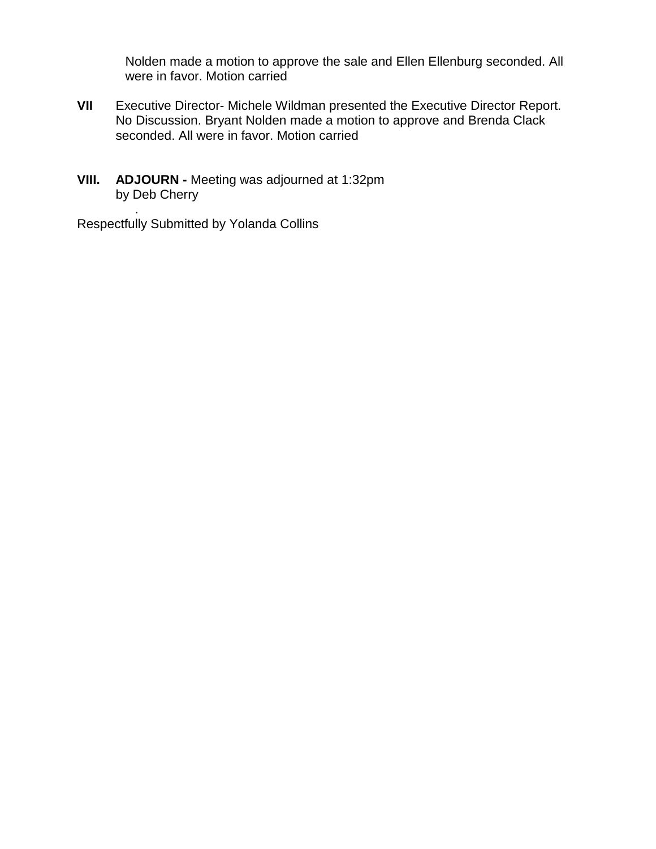Nolden made a motion to approve the sale and Ellen Ellenburg seconded. All were in favor. Motion carried

- **VII** Executive Director- Michele Wildman presented the Executive Director Report. No Discussion. Bryant Nolden made a motion to approve and Brenda Clack seconded. All were in favor. Motion carried
- **VIII. ADJOURN -** Meeting was adjourned at 1:32pm by Deb Cherry

. Respectfully Submitted by Yolanda Collins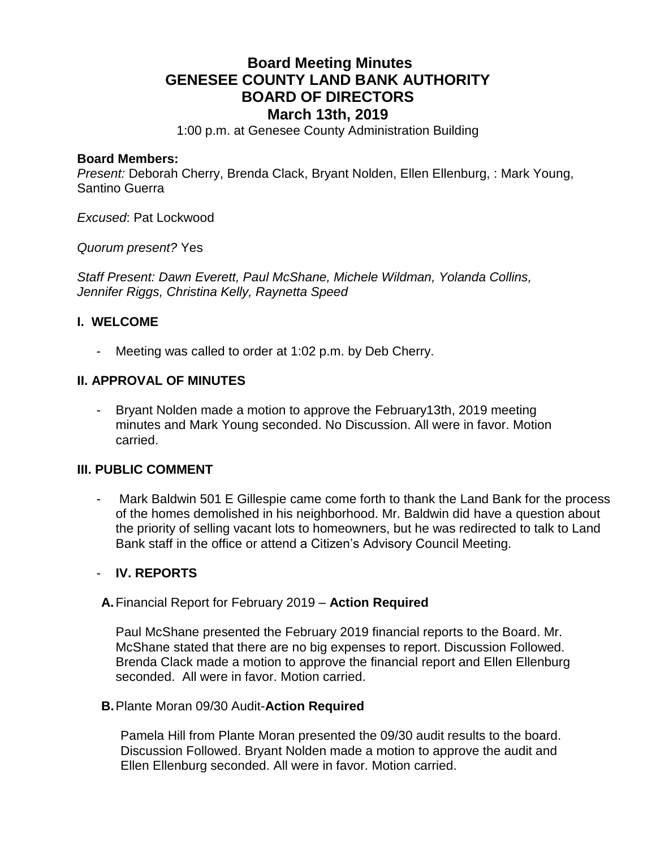# **Board Meeting Minutes GENESEE COUNTY LAND BANK AUTHORITY BOARD OF DIRECTORS March 13th, 2019**

1:00 p.m. at Genesee County Administration Building

### **Board Members:**

*Present:* Deborah Cherry, Brenda Clack, Bryant Nolden, Ellen Ellenburg, : Mark Young, Santino Guerra

*Excused*: Pat Lockwood

*Quorum present?* Yes

*Staff Present: Dawn Everett, Paul McShane, Michele Wildman, Yolanda Collins, Jennifer Riggs, Christina Kelly, Raynetta Speed*

### **I. WELCOME**

Meeting was called to order at 1:02 p.m. by Deb Cherry.

### **II. APPROVAL OF MINUTES**

- Bryant Nolden made a motion to approve the February13th, 2019 meeting minutes and Mark Young seconded. No Discussion. All were in favor. Motion carried.

### **III. PUBLIC COMMENT**

Mark Baldwin 501 E Gillespie came come forth to thank the Land Bank for the process of the homes demolished in his neighborhood. Mr. Baldwin did have a question about the priority of selling vacant lots to homeowners, but he was redirected to talk to Land Bank staff in the office or attend a Citizen's Advisory Council Meeting.

### - **IV. REPORTS**

**A.**Financial Report for February 2019 – **Action Required**

Paul McShane presented the February 2019 financial reports to the Board. Mr. McShane stated that there are no big expenses to report. Discussion Followed. Brenda Clack made a motion to approve the financial report and Ellen Ellenburg seconded. All were in favor. Motion carried.

### **B.**Plante Moran 09/30 Audit-**Action Required**

Pamela Hill from Plante Moran presented the 09/30 audit results to the board. Discussion Followed. Bryant Nolden made a motion to approve the audit and Ellen Ellenburg seconded. All were in favor. Motion carried.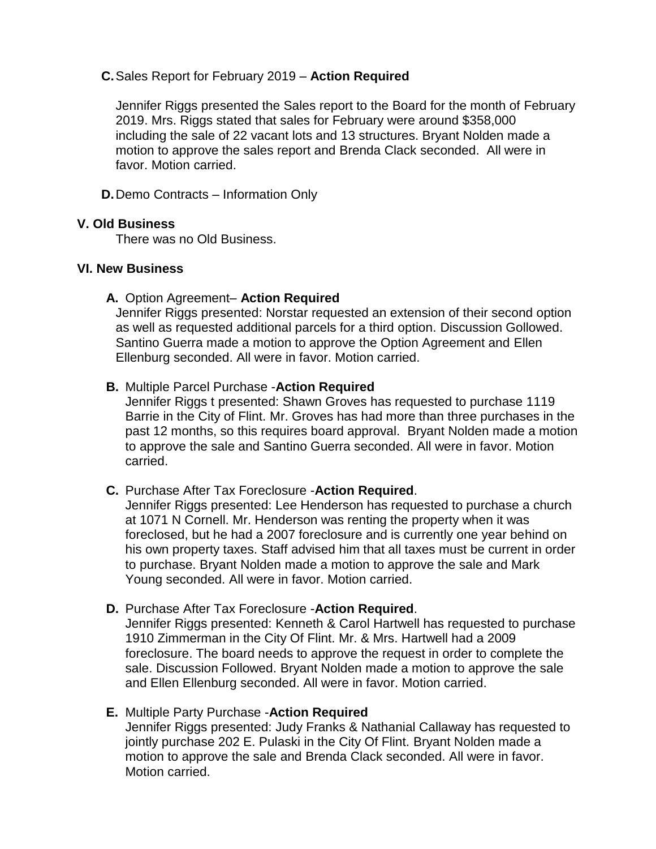### **C.**Sales Report for February 2019 – **Action Required**

Jennifer Riggs presented the Sales report to the Board for the month of February 2019. Mrs. Riggs stated that sales for February were around \$358,000 including the sale of 22 vacant lots and 13 structures. Bryant Nolden made a motion to approve the sales report and Brenda Clack seconded. All were in favor. Motion carried.

**D.**Demo Contracts – Information Only

### **V. Old Business**

There was no Old Business.

### **VI. New Business**

### **A.** Option Agreement– **Action Required**

Jennifer Riggs presented: Norstar requested an extension of their second option as well as requested additional parcels for a third option. Discussion Gollowed. Santino Guerra made a motion to approve the Option Agreement and Ellen Ellenburg seconded. All were in favor. Motion carried.

### **B.** Multiple Parcel Purchase -**Action Required**

Jennifer Riggs t presented: Shawn Groves has requested to purchase 1119 Barrie in the City of Flint. Mr. Groves has had more than three purchases in the past 12 months, so this requires board approval. Bryant Nolden made a motion to approve the sale and Santino Guerra seconded. All were in favor. Motion carried.

### **C.** Purchase After Tax Foreclosure -**Action Required**.

Jennifer Riggs presented: Lee Henderson has requested to purchase a church at 1071 N Cornell. Mr. Henderson was renting the property when it was foreclosed, but he had a 2007 foreclosure and is currently one year behind on his own property taxes. Staff advised him that all taxes must be current in order to purchase. Bryant Nolden made a motion to approve the sale and Mark Young seconded. All were in favor. Motion carried.

### **D.** Purchase After Tax Foreclosure -**Action Required**.

Jennifer Riggs presented: Kenneth & Carol Hartwell has requested to purchase 1910 Zimmerman in the City Of Flint. Mr. & Mrs. Hartwell had a 2009 foreclosure. The board needs to approve the request in order to complete the sale. Discussion Followed. Bryant Nolden made a motion to approve the sale and Ellen Ellenburg seconded. All were in favor. Motion carried.

### **E.** Multiple Party Purchase -**Action Required** Jennifer Riggs presented: Judy Franks & Nathanial Callaway has requested to jointly purchase 202 E. Pulaski in the City Of Flint. Bryant Nolden made a motion to approve the sale and Brenda Clack seconded. All were in favor. Motion carried.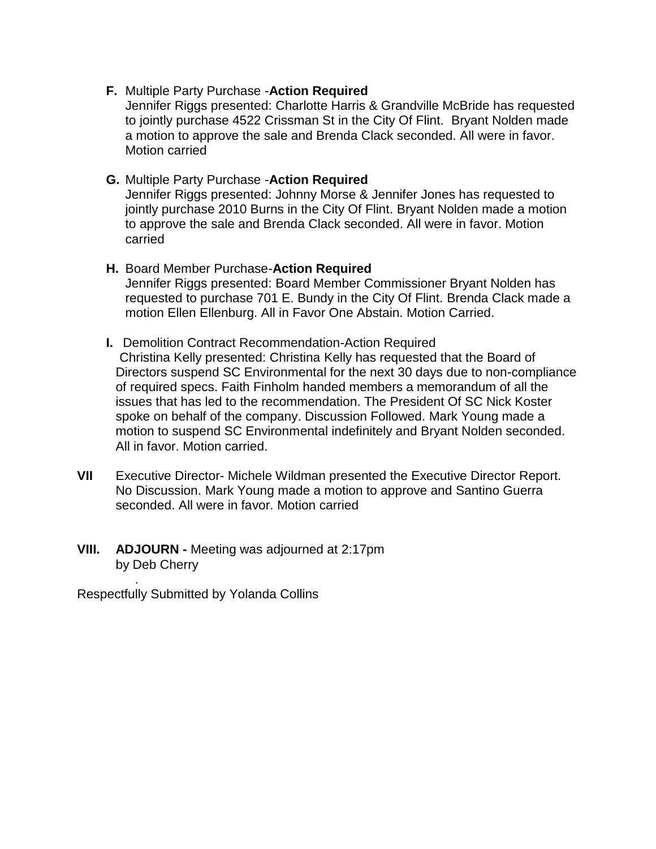### **F.** Multiple Party Purchase -**Action Required**

Jennifer Riggs presented: Charlotte Harris & Grandville McBride has requested to jointly purchase 4522 Crissman St in the City Of Flint. Bryant Nolden made a motion to approve the sale and Brenda Clack seconded. All were in favor. Motion carried

### **G.** Multiple Party Purchase -**Action Required**

Jennifer Riggs presented: Johnny Morse & Jennifer Jones has requested to jointly purchase 2010 Burns in the City Of Flint. Bryant Nolden made a motion to approve the sale and Brenda Clack seconded. All were in favor. Motion carried

# **H.** Board Member Purchase-**Action Required**

Jennifer Riggs presented: Board Member Commissioner Bryant Nolden has requested to purchase 701 E. Bundy in the City Of Flint. Brenda Clack made a motion Ellen Ellenburg. All in Favor One Abstain. Motion Carried.

# **I.** Demolition Contract Recommendation-Action Required

Christina Kelly presented: Christina Kelly has requested that the Board of Directors suspend SC Environmental for the next 30 days due to non-compliance of required specs. Faith Finholm handed members a memorandum of all the issues that has led to the recommendation. The President Of SC Nick Koster spoke on behalf of the company. Discussion Followed. Mark Young made a motion to suspend SC Environmental indefinitely and Bryant Nolden seconded. All in favor. Motion carried.

### **VII** Executive Director- Michele Wildman presented the Executive Director Report. No Discussion. Mark Young made a motion to approve and Santino Guerra seconded. All were in favor. Motion carried

### **VIII. ADJOURN -** Meeting was adjourned at 2:17pm by Deb Cherry

Respectfully Submitted by Yolanda Collins

.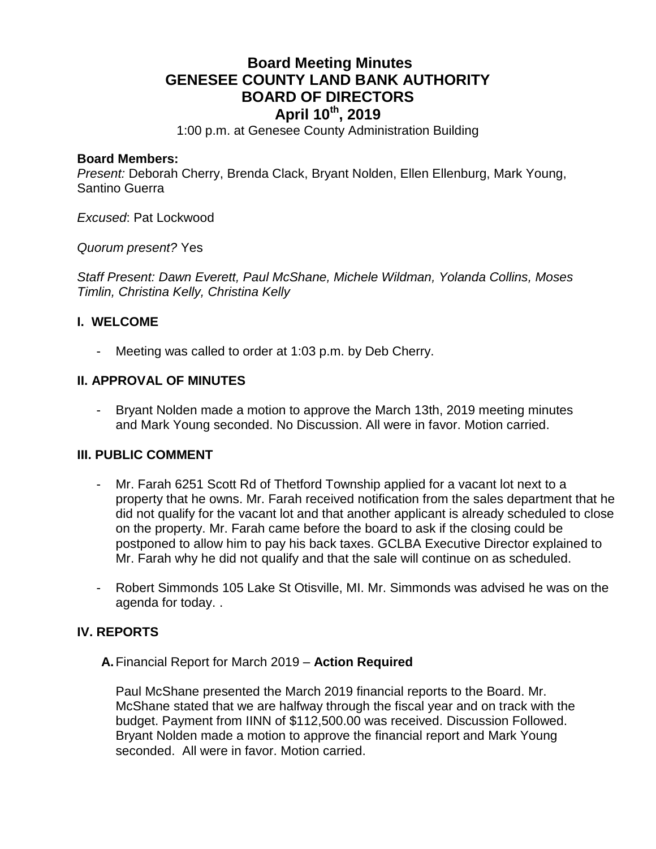# **Board Meeting Minutes GENESEE COUNTY LAND BANK AUTHORITY BOARD OF DIRECTORS April 10th, 2019**

1:00 p.m. at Genesee County Administration Building

### **Board Members:**

*Present:* Deborah Cherry, Brenda Clack, Bryant Nolden, Ellen Ellenburg, Mark Young, Santino Guerra

*Excused*: Pat Lockwood

*Quorum present?* Yes

*Staff Present: Dawn Everett, Paul McShane, Michele Wildman, Yolanda Collins, Moses Timlin, Christina Kelly, Christina Kelly*

### **I. WELCOME**

Meeting was called to order at 1:03 p.m. by Deb Cherry.

### **II. APPROVAL OF MINUTES**

- Bryant Nolden made a motion to approve the March 13th, 2019 meeting minutes and Mark Young seconded. No Discussion. All were in favor. Motion carried.

### **III. PUBLIC COMMENT**

- Mr. Farah 6251 Scott Rd of Thetford Township applied for a vacant lot next to a property that he owns. Mr. Farah received notification from the sales department that he did not qualify for the vacant lot and that another applicant is already scheduled to close on the property. Mr. Farah came before the board to ask if the closing could be postponed to allow him to pay his back taxes. GCLBA Executive Director explained to Mr. Farah why he did not qualify and that the sale will continue on as scheduled.
- Robert Simmonds 105 Lake St Otisville, MI. Mr. Simmonds was advised he was on the agenda for today. .

### **IV. REPORTS**

**A.**Financial Report for March 2019 – **Action Required**

Paul McShane presented the March 2019 financial reports to the Board. Mr. McShane stated that we are halfway through the fiscal year and on track with the budget. Payment from IINN of \$112,500.00 was received. Discussion Followed. Bryant Nolden made a motion to approve the financial report and Mark Young seconded. All were in favor. Motion carried.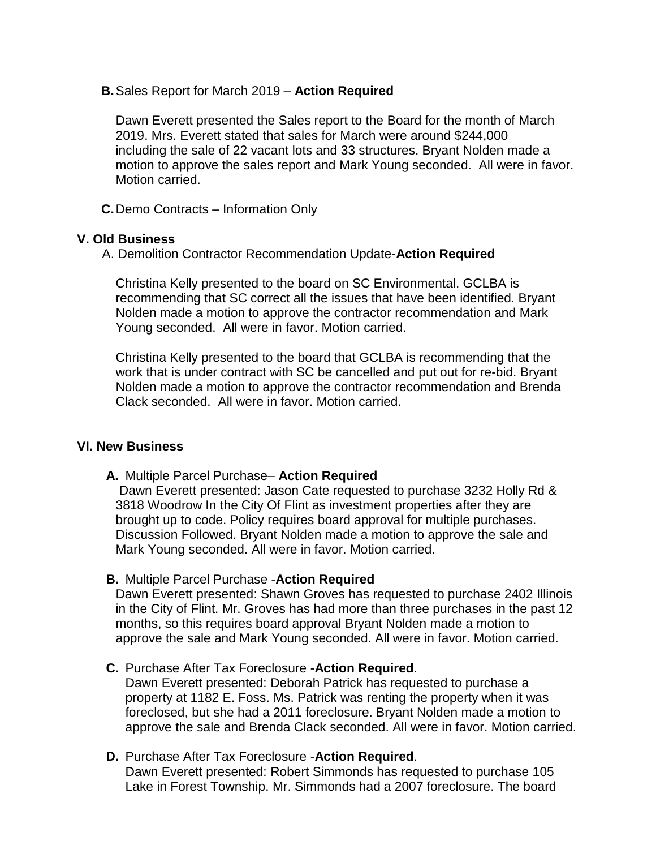**B.**Sales Report for March 2019 – **Action Required**

Dawn Everett presented the Sales report to the Board for the month of March 2019. Mrs. Everett stated that sales for March were around \$244,000 including the sale of 22 vacant lots and 33 structures. Bryant Nolden made a motion to approve the sales report and Mark Young seconded. All were in favor. Motion carried.

**C.**Demo Contracts – Information Only

### **V. Old Business**

A. Demolition Contractor Recommendation Update-**Action Required**

Christina Kelly presented to the board on SC Environmental. GCLBA is recommending that SC correct all the issues that have been identified. Bryant Nolden made a motion to approve the contractor recommendation and Mark Young seconded. All were in favor. Motion carried.

Christina Kelly presented to the board that GCLBA is recommending that the work that is under contract with SC be cancelled and put out for re-bid. Bryant Nolden made a motion to approve the contractor recommendation and Brenda Clack seconded. All were in favor. Motion carried.

### **VI. New Business**

### **A.** Multiple Parcel Purchase– **Action Required**

Dawn Everett presented: Jason Cate requested to purchase 3232 Holly Rd & 3818 Woodrow In the City Of Flint as investment properties after they are brought up to code. Policy requires board approval for multiple purchases. Discussion Followed. Bryant Nolden made a motion to approve the sale and Mark Young seconded. All were in favor. Motion carried.

### **B.** Multiple Parcel Purchase -**Action Required**

Dawn Everett presented: Shawn Groves has requested to purchase 2402 Illinois in the City of Flint. Mr. Groves has had more than three purchases in the past 12 months, so this requires board approval Bryant Nolden made a motion to approve the sale and Mark Young seconded. All were in favor. Motion carried.

### **C.** Purchase After Tax Foreclosure -**Action Required**.

Dawn Everett presented: Deborah Patrick has requested to purchase a property at 1182 E. Foss. Ms. Patrick was renting the property when it was foreclosed, but she had a 2011 foreclosure. Bryant Nolden made a motion to approve the sale and Brenda Clack seconded. All were in favor. Motion carried.

### **D.** Purchase After Tax Foreclosure -**Action Required**.

Dawn Everett presented: Robert Simmonds has requested to purchase 105 Lake in Forest Township. Mr. Simmonds had a 2007 foreclosure. The board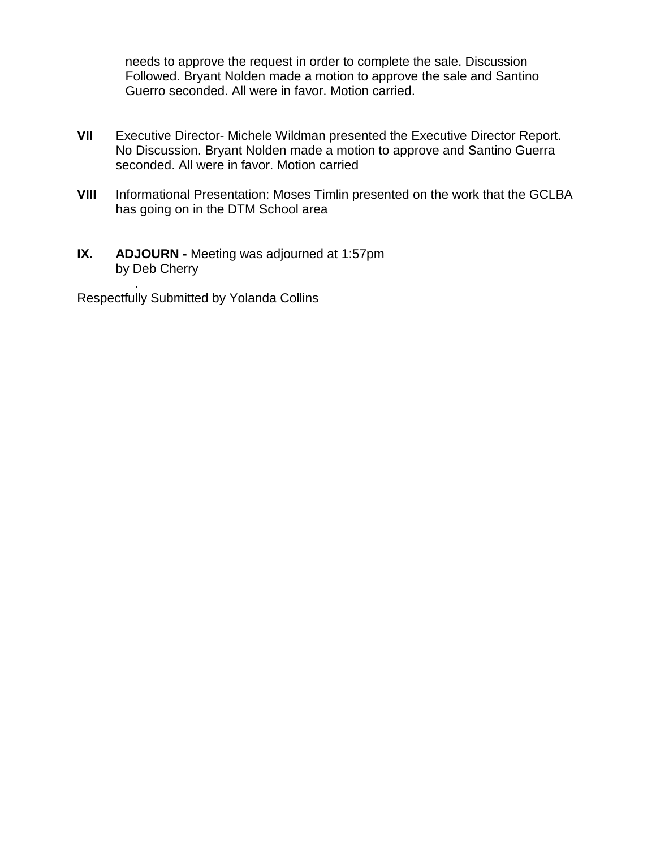needs to approve the request in order to complete the sale. Discussion Followed. Bryant Nolden made a motion to approve the sale and Santino Guerro seconded. All were in favor. Motion carried.

- **VII** Executive Director- Michele Wildman presented the Executive Director Report. No Discussion. Bryant Nolden made a motion to approve and Santino Guerra seconded. All were in favor. Motion carried
- **VIII** Informational Presentation: Moses Timlin presented on the work that the GCLBA has going on in the DTM School area
- **IX. ADJOURN -** Meeting was adjourned at 1:57pm by Deb Cherry

. Respectfully Submitted by Yolanda Collins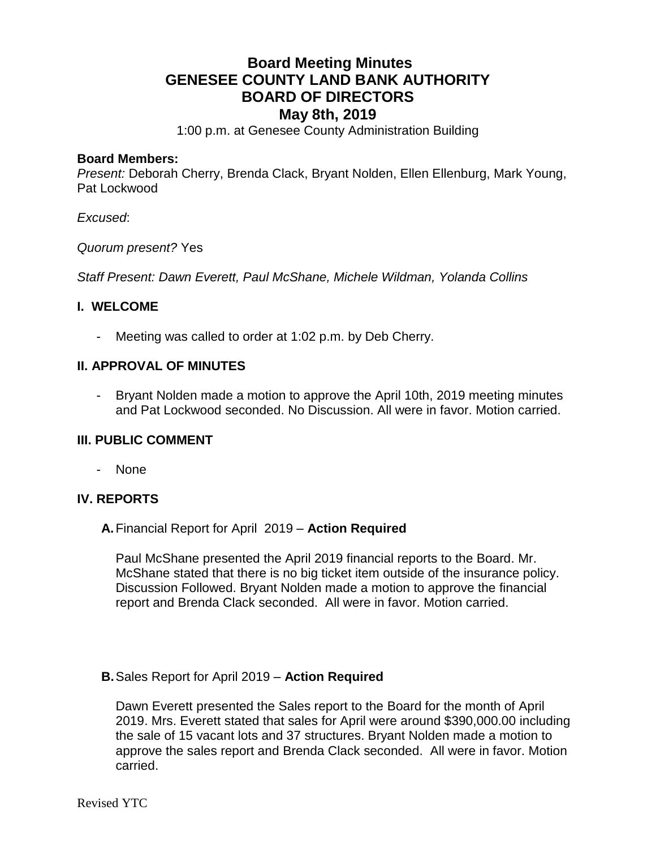# **Board Meeting Minutes GENESEE COUNTY LAND BANK AUTHORITY BOARD OF DIRECTORS May 8th, 2019**

1:00 p.m. at Genesee County Administration Building

### **Board Members:**

*Present:* Deborah Cherry, Brenda Clack, Bryant Nolden, Ellen Ellenburg, Mark Young, Pat Lockwood

### *Excused*:

*Quorum present?* Yes

*Staff Present: Dawn Everett, Paul McShane, Michele Wildman, Yolanda Collins*

### **I. WELCOME**

Meeting was called to order at 1:02 p.m. by Deb Cherry.

### **II. APPROVAL OF MINUTES**

- Bryant Nolden made a motion to approve the April 10th, 2019 meeting minutes and Pat Lockwood seconded. No Discussion. All were in favor. Motion carried.

### **III. PUBLIC COMMENT**

- None

### **IV. REPORTS**

### **A.**Financial Report for April 2019 – **Action Required**

Paul McShane presented the April 2019 financial reports to the Board. Mr. McShane stated that there is no big ticket item outside of the insurance policy. Discussion Followed. Bryant Nolden made a motion to approve the financial report and Brenda Clack seconded. All were in favor. Motion carried.

### **B.**Sales Report for April 2019 – **Action Required**

Dawn Everett presented the Sales report to the Board for the month of April 2019. Mrs. Everett stated that sales for April were around \$390,000.00 including the sale of 15 vacant lots and 37 structures. Bryant Nolden made a motion to approve the sales report and Brenda Clack seconded. All were in favor. Motion carried.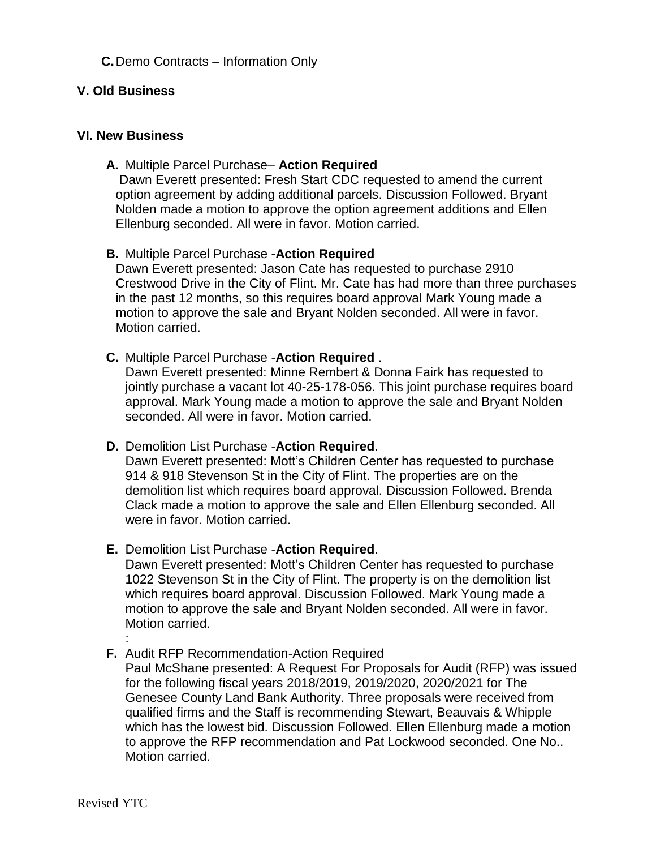### **C.**Demo Contracts – Information Only

### **V. Old Business**

### **VI. New Business**

### **A.** Multiple Parcel Purchase– **Action Required**

Dawn Everett presented: Fresh Start CDC requested to amend the current option agreement by adding additional parcels. Discussion Followed. Bryant Nolden made a motion to approve the option agreement additions and Ellen Ellenburg seconded. All were in favor. Motion carried.

### **B.** Multiple Parcel Purchase -**Action Required**

Dawn Everett presented: Jason Cate has requested to purchase 2910 Crestwood Drive in the City of Flint. Mr. Cate has had more than three purchases in the past 12 months, so this requires board approval Mark Young made a motion to approve the sale and Bryant Nolden seconded. All were in favor. Motion carried.

### **C.** Multiple Parcel Purchase -**Action Required** .

Dawn Everett presented: Minne Rembert & Donna Fairk has requested to jointly purchase a vacant lot 40-25-178-056. This joint purchase requires board approval. Mark Young made a motion to approve the sale and Bryant Nolden seconded. All were in favor. Motion carried.

### **D.** Demolition List Purchase -**Action Required**.

Dawn Everett presented: Mott's Children Center has requested to purchase 914 & 918 Stevenson St in the City of Flint. The properties are on the demolition list which requires board approval. Discussion Followed. Brenda Clack made a motion to approve the sale and Ellen Ellenburg seconded. All were in favor. Motion carried.

### **E.** Demolition List Purchase -**Action Required**.

Dawn Everett presented: Mott's Children Center has requested to purchase 1022 Stevenson St in the City of Flint. The property is on the demolition list which requires board approval. Discussion Followed. Mark Young made a motion to approve the sale and Bryant Nolden seconded. All were in favor. Motion carried.

#### : **F.** Audit RFP Recommendation-Action Required

Paul McShane presented: A Request For Proposals for Audit (RFP) was issued for the following fiscal years 2018/2019, 2019/2020, 2020/2021 for The Genesee County Land Bank Authority. Three proposals were received from qualified firms and the Staff is recommending Stewart, Beauvais & Whipple which has the lowest bid. Discussion Followed. Ellen Ellenburg made a motion to approve the RFP recommendation and Pat Lockwood seconded. One No.. Motion carried.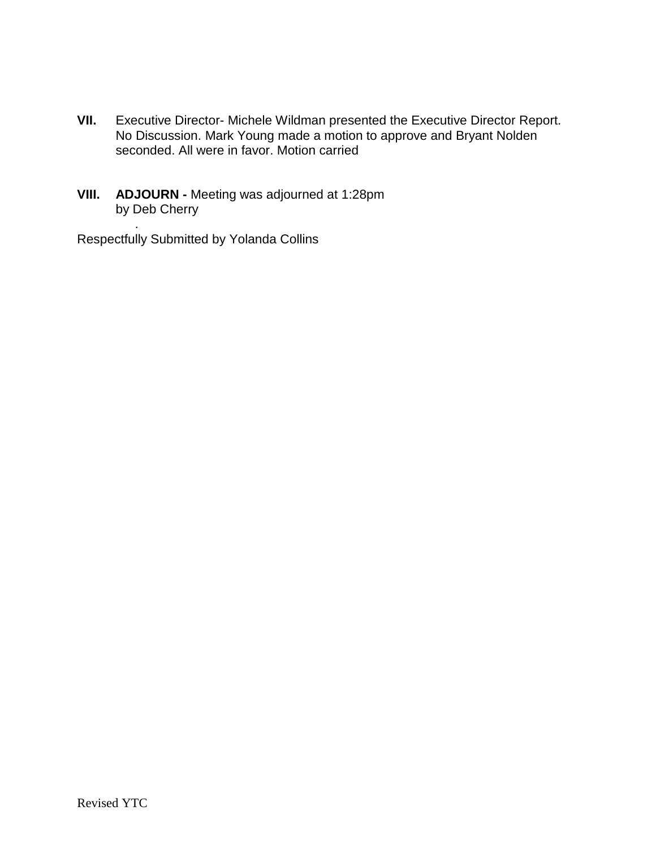- **VII.** Executive Director- Michele Wildman presented the Executive Director Report. No Discussion. Mark Young made a motion to approve and Bryant Nolden seconded. All were in favor. Motion carried
- **VIII. ADJOURN -** Meeting was adjourned at 1:28pm by Deb Cherry

. Respectfully Submitted by Yolanda Collins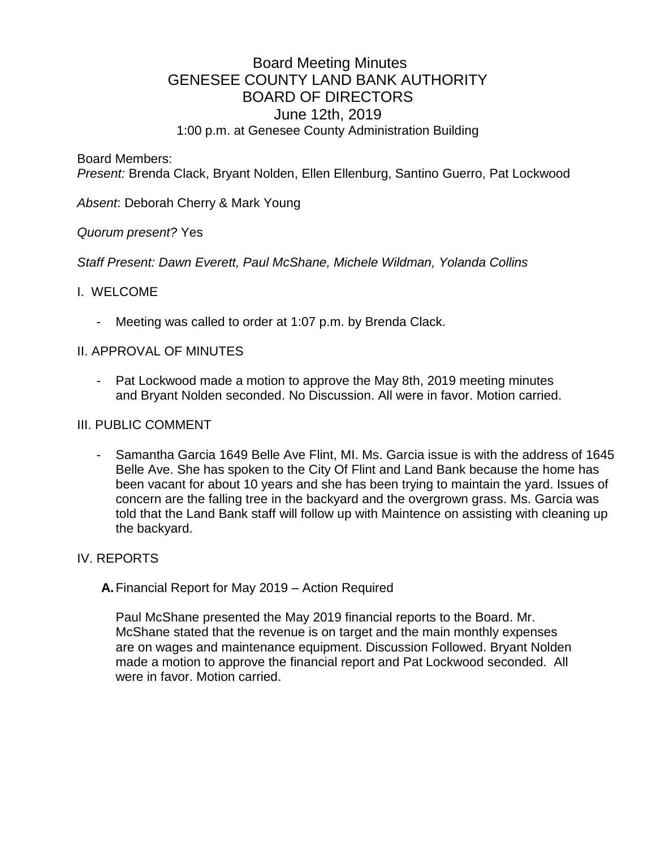# Board Meeting Minutes GENESEE COUNTY LAND BANK AUTHORITY BOARD OF DIRECTORS June 12th, 2019 1:00 p.m. at Genesee County Administration Building

Board Members:

*Present:* Brenda Clack, Bryant Nolden, Ellen Ellenburg, Santino Guerro, Pat Lockwood

*Absent*: Deborah Cherry & Mark Young

### *Quorum present?* Yes

*Staff Present: Dawn Everett, Paul McShane, Michele Wildman, Yolanda Collins*

### I. WELCOME

Meeting was called to order at 1:07 p.m. by Brenda Clack.

### II. APPROVAL OF MINUTES

- Pat Lockwood made a motion to approve the May 8th, 2019 meeting minutes and Bryant Nolden seconded. No Discussion. All were in favor. Motion carried.

### III. PUBLIC COMMENT

- Samantha Garcia 1649 Belle Ave Flint, MI. Ms. Garcia issue is with the address of 1645 Belle Ave. She has spoken to the City Of Flint and Land Bank because the home has been vacant for about 10 years and she has been trying to maintain the yard. Issues of concern are the falling tree in the backyard and the overgrown grass. Ms. Garcia was told that the Land Bank staff will follow up with Maintence on assisting with cleaning up the backyard.

### IV. REPORTS

**A.**Financial Report for May 2019 – Action Required

Paul McShane presented the May 2019 financial reports to the Board. Mr. McShane stated that the revenue is on target and the main monthly expenses are on wages and maintenance equipment. Discussion Followed. Bryant Nolden made a motion to approve the financial report and Pat Lockwood seconded. All were in favor. Motion carried.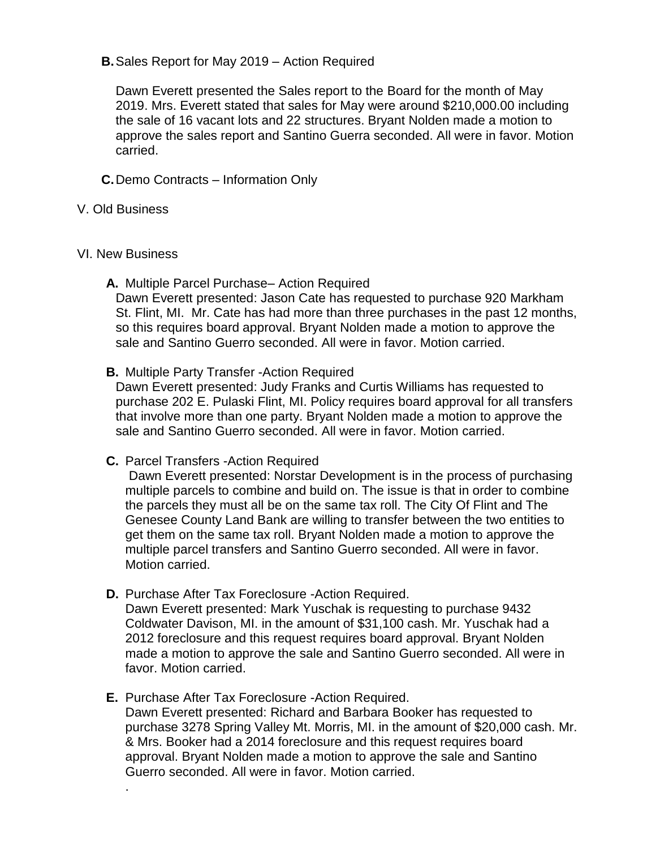### **B.**Sales Report for May 2019 – Action Required

Dawn Everett presented the Sales report to the Board for the month of May 2019. Mrs. Everett stated that sales for May were around \$210,000.00 including the sale of 16 vacant lots and 22 structures. Bryant Nolden made a motion to approve the sales report and Santino Guerra seconded. All were in favor. Motion carried.

- **C.**Demo Contracts Information Only
- V. Old Business
- VI. New Business

.

**A.** Multiple Parcel Purchase– Action Required

Dawn Everett presented: Jason Cate has requested to purchase 920 Markham St. Flint, MI. Mr. Cate has had more than three purchases in the past 12 months, so this requires board approval. Bryant Nolden made a motion to approve the sale and Santino Guerro seconded. All were in favor. Motion carried.

**B.** Multiple Party Transfer -Action Required

Dawn Everett presented: Judy Franks and Curtis Williams has requested to purchase 202 E. Pulaski Flint, MI. Policy requires board approval for all transfers that involve more than one party. Bryant Nolden made a motion to approve the sale and Santino Guerro seconded. All were in favor. Motion carried.

**C.** Parcel Transfers -Action Required

Dawn Everett presented: Norstar Development is in the process of purchasing multiple parcels to combine and build on. The issue is that in order to combine the parcels they must all be on the same tax roll. The City Of Flint and The Genesee County Land Bank are willing to transfer between the two entities to get them on the same tax roll. Bryant Nolden made a motion to approve the multiple parcel transfers and Santino Guerro seconded. All were in favor. Motion carried.

- **D.** Purchase After Tax Foreclosure -Action Required. Dawn Everett presented: Mark Yuschak is requesting to purchase 9432 Coldwater Davison, MI. in the amount of \$31,100 cash. Mr. Yuschak had a 2012 foreclosure and this request requires board approval. Bryant Nolden made a motion to approve the sale and Santino Guerro seconded. All were in favor. Motion carried.
- **E.** Purchase After Tax Foreclosure -Action Required. Dawn Everett presented: Richard and Barbara Booker has requested to purchase 3278 Spring Valley Mt. Morris, MI. in the amount of \$20,000 cash. Mr. & Mrs. Booker had a 2014 foreclosure and this request requires board approval. Bryant Nolden made a motion to approve the sale and Santino Guerro seconded. All were in favor. Motion carried.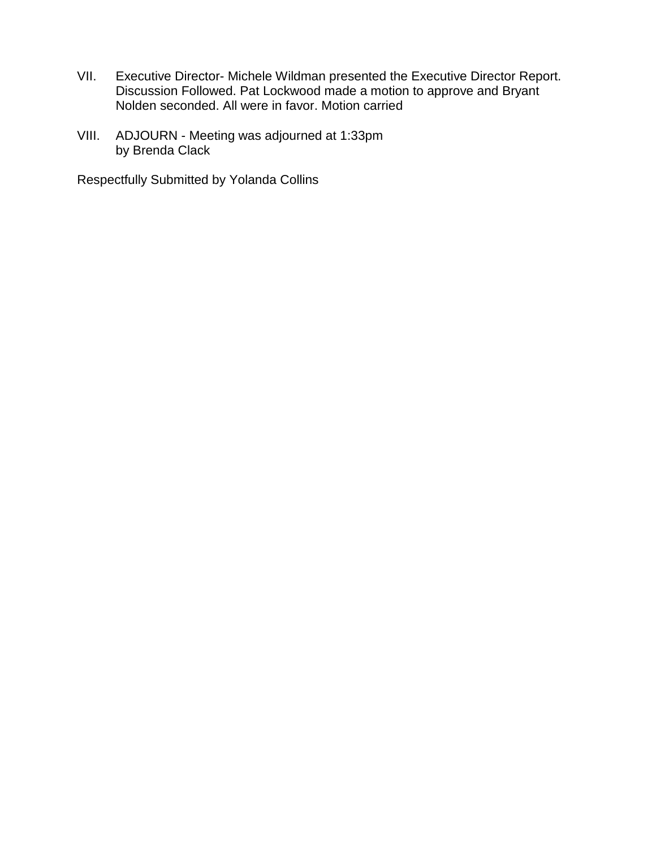- VII. Executive Director- Michele Wildman presented the Executive Director Report. Discussion Followed. Pat Lockwood made a motion to approve and Bryant Nolden seconded. All were in favor. Motion carried
- VIII. ADJOURN Meeting was adjourned at 1:33pm by Brenda Clack

Respectfully Submitted by Yolanda Collins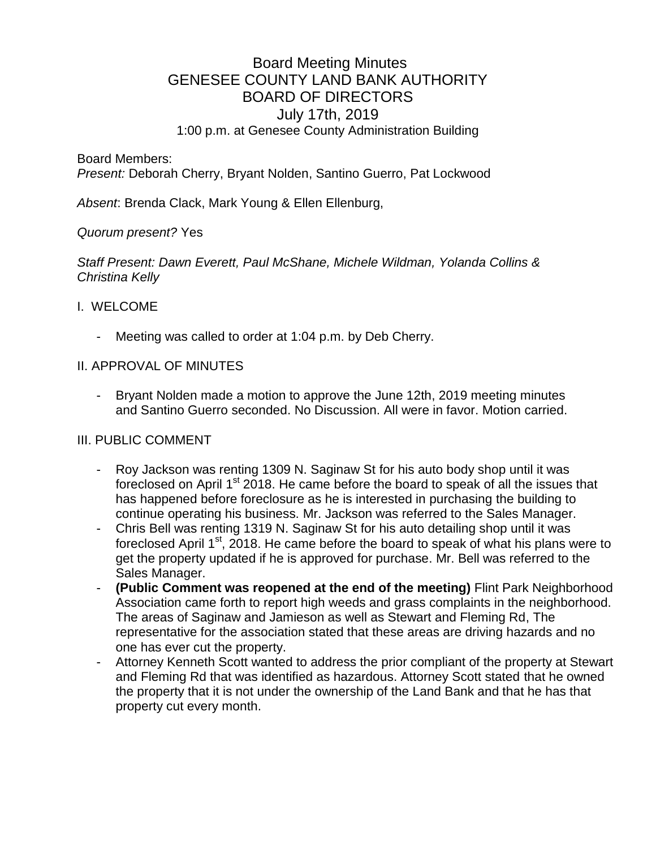# Board Meeting Minutes GENESEE COUNTY LAND BANK AUTHORITY BOARD OF DIRECTORS July 17th, 2019 1:00 p.m. at Genesee County Administration Building

Board Members:

*Present:* Deborah Cherry, Bryant Nolden, Santino Guerro, Pat Lockwood

*Absent*: Brenda Clack, Mark Young & Ellen Ellenburg,

### *Quorum present?* Yes

*Staff Present: Dawn Everett, Paul McShane, Michele Wildman, Yolanda Collins & Christina Kelly*

### I. WELCOME

Meeting was called to order at 1:04 p.m. by Deb Cherry.

### II. APPROVAL OF MINUTES

Bryant Nolden made a motion to approve the June 12th, 2019 meeting minutes and Santino Guerro seconded. No Discussion. All were in favor. Motion carried.

### III. PUBLIC COMMENT

- Roy Jackson was renting 1309 N. Saginaw St for his auto body shop until it was foreclosed on April 1<sup>st</sup> 2018. He came before the board to speak of all the issues that has happened before foreclosure as he is interested in purchasing the building to continue operating his business. Mr. Jackson was referred to the Sales Manager.
- Chris Bell was renting 1319 N. Saginaw St for his auto detailing shop until it was foreclosed April 1<sup>st</sup>, 2018. He came before the board to speak of what his plans were to get the property updated if he is approved for purchase. Mr. Bell was referred to the Sales Manager.
- **(Public Comment was reopened at the end of the meeting)** Flint Park Neighborhood Association came forth to report high weeds and grass complaints in the neighborhood. The areas of Saginaw and Jamieson as well as Stewart and Fleming Rd, The representative for the association stated that these areas are driving hazards and no one has ever cut the property.
- Attorney Kenneth Scott wanted to address the prior compliant of the property at Stewart and Fleming Rd that was identified as hazardous. Attorney Scott stated that he owned the property that it is not under the ownership of the Land Bank and that he has that property cut every month.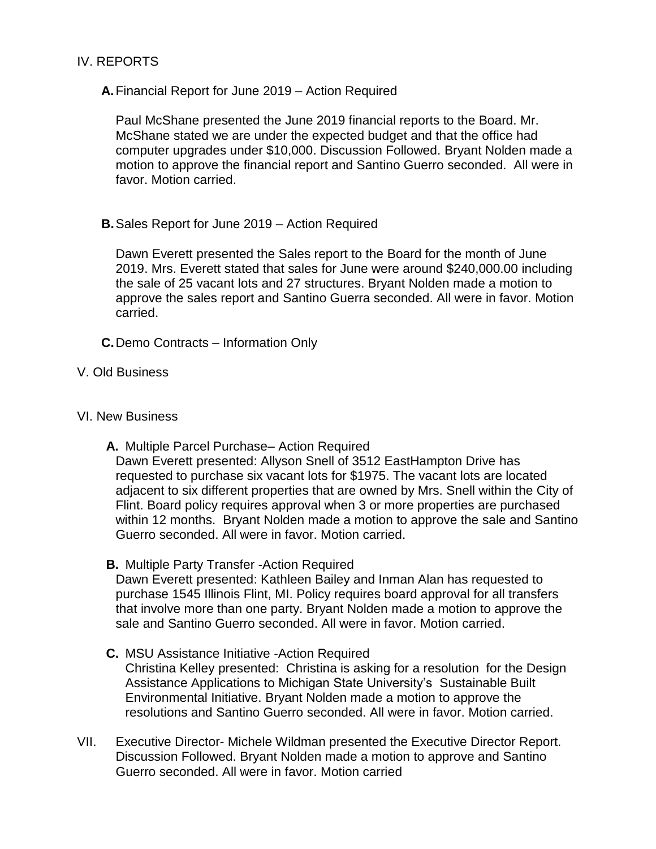### IV. REPORTS

**A.**Financial Report for June 2019 – Action Required

Paul McShane presented the June 2019 financial reports to the Board. Mr. McShane stated we are under the expected budget and that the office had computer upgrades under \$10,000. Discussion Followed. Bryant Nolden made a motion to approve the financial report and Santino Guerro seconded. All were in favor. Motion carried.

**B.**Sales Report for June 2019 – Action Required

Dawn Everett presented the Sales report to the Board for the month of June 2019. Mrs. Everett stated that sales for June were around \$240,000.00 including the sale of 25 vacant lots and 27 structures. Bryant Nolden made a motion to approve the sales report and Santino Guerra seconded. All were in favor. Motion carried.

- **C.**Demo Contracts Information Only
- V. Old Business

### VI. New Business

**A.** Multiple Parcel Purchase– Action Required

Dawn Everett presented: Allyson Snell of 3512 EastHampton Drive has requested to purchase six vacant lots for \$1975. The vacant lots are located adjacent to six different properties that are owned by Mrs. Snell within the City of Flint. Board policy requires approval when 3 or more properties are purchased within 12 months. Bryant Nolden made a motion to approve the sale and Santino Guerro seconded. All were in favor. Motion carried.

**B.** Multiple Party Transfer -Action Required

Dawn Everett presented: Kathleen Bailey and Inman Alan has requested to purchase 1545 Illinois Flint, MI. Policy requires board approval for all transfers that involve more than one party. Bryant Nolden made a motion to approve the sale and Santino Guerro seconded. All were in favor. Motion carried.

- **C.** MSU Assistance Initiative -Action Required Christina Kelley presented: Christina is asking for a resolution for the Design Assistance Applications to Michigan State University's Sustainable Built Environmental Initiative. Bryant Nolden made a motion to approve the resolutions and Santino Guerro seconded. All were in favor. Motion carried.
- VII. Executive Director- Michele Wildman presented the Executive Director Report. Discussion Followed. Bryant Nolden made a motion to approve and Santino Guerro seconded. All were in favor. Motion carried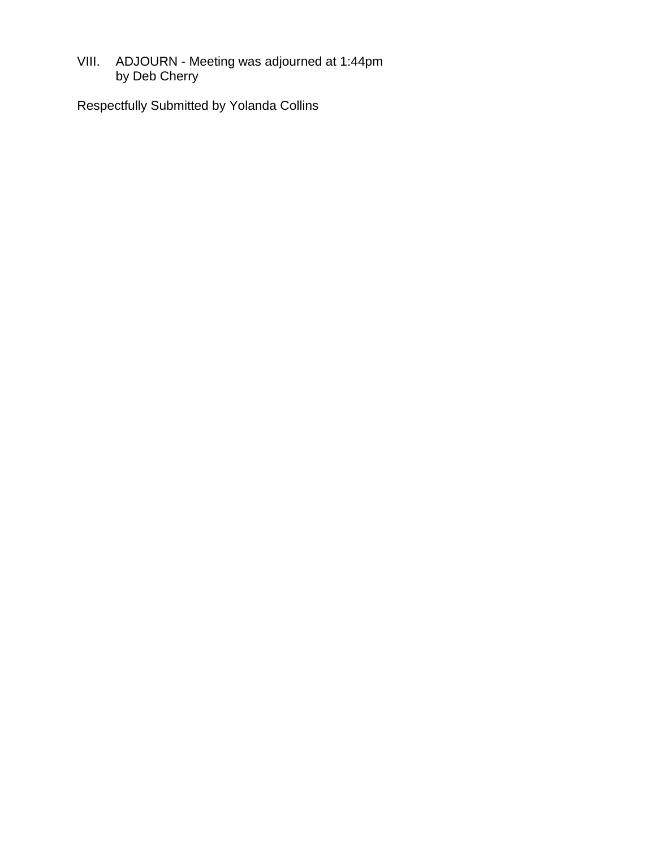VIII. ADJOURN - Meeting was adjourned at 1:44pm by Deb Cherry

Respectfully Submitted by Yolanda Collins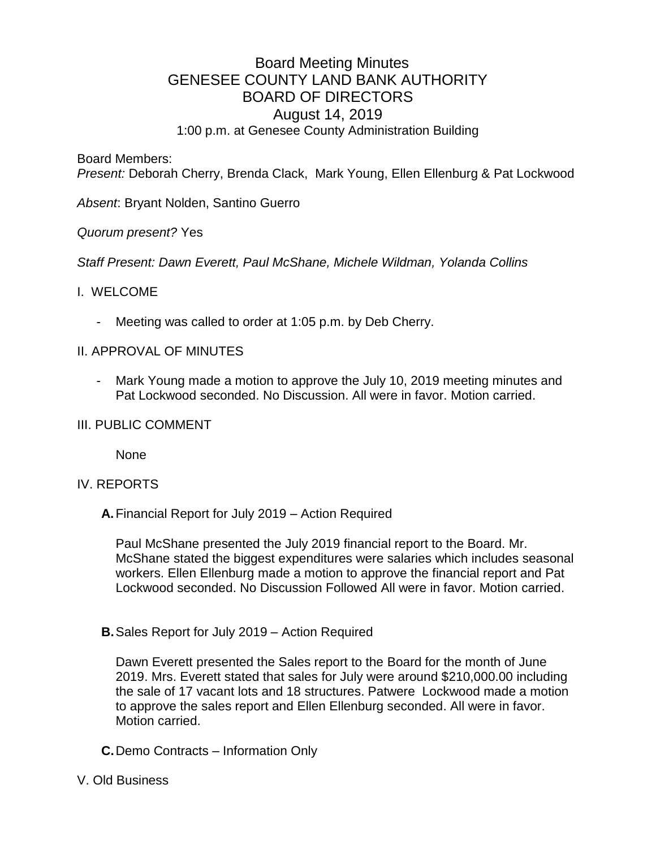# Board Meeting Minutes GENESEE COUNTY LAND BANK AUTHORITY BOARD OF DIRECTORS August 14, 2019 1:00 p.m. at Genesee County Administration Building

Board Members:

*Present:* Deborah Cherry, Brenda Clack, Mark Young, Ellen Ellenburg & Pat Lockwood

*Absent*: Bryant Nolden, Santino Guerro

*Quorum present?* Yes

*Staff Present: Dawn Everett, Paul McShane, Michele Wildman, Yolanda Collins*

### I. WELCOME

Meeting was called to order at 1:05 p.m. by Deb Cherry.

### II. APPROVAL OF MINUTES

- Mark Young made a motion to approve the July 10, 2019 meeting minutes and Pat Lockwood seconded. No Discussion. All were in favor. Motion carried.
- III. PUBLIC COMMENT

None

### IV. REPORTS

**A.**Financial Report for July 2019 – Action Required

Paul McShane presented the July 2019 financial report to the Board. Mr. McShane stated the biggest expenditures were salaries which includes seasonal workers. Ellen Ellenburg made a motion to approve the financial report and Pat Lockwood seconded. No Discussion Followed All were in favor. Motion carried.

**B.**Sales Report for July 2019 – Action Required

Dawn Everett presented the Sales report to the Board for the month of June 2019. Mrs. Everett stated that sales for July were around \$210,000.00 including the sale of 17 vacant lots and 18 structures. Patwere Lockwood made a motion to approve the sales report and Ellen Ellenburg seconded. All were in favor. Motion carried.

- **C.**Demo Contracts Information Only
- V. Old Business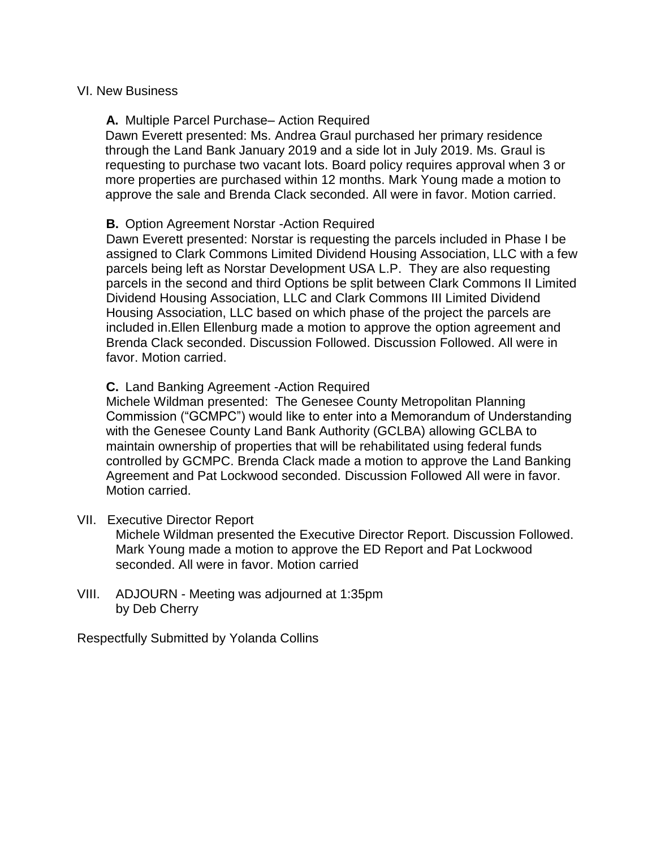### VI. New Business

### **A.** Multiple Parcel Purchase– Action Required

Dawn Everett presented: Ms. Andrea Graul purchased her primary residence through the Land Bank January 2019 and a side lot in July 2019. Ms. Graul is requesting to purchase two vacant lots. Board policy requires approval when 3 or more properties are purchased within 12 months. Mark Young made a motion to approve the sale and Brenda Clack seconded. All were in favor. Motion carried.

### **B.** Option Agreement Norstar -Action Required

Dawn Everett presented: Norstar is requesting the parcels included in Phase I be assigned to Clark Commons Limited Dividend Housing Association, LLC with a few parcels being left as Norstar Development USA L.P. They are also requesting parcels in the second and third Options be split between Clark Commons II Limited Dividend Housing Association, LLC and Clark Commons III Limited Dividend Housing Association, LLC based on which phase of the project the parcels are included in.Ellen Ellenburg made a motion to approve the option agreement and Brenda Clack seconded. Discussion Followed. Discussion Followed. All were in favor. Motion carried.

### **C.** Land Banking Agreement -Action Required

Michele Wildman presented: The Genesee County Metropolitan Planning Commission ("GCMPC") would like to enter into a Memorandum of Understanding with the Genesee County Land Bank Authority (GCLBA) allowing GCLBA to maintain ownership of properties that will be rehabilitated using federal funds controlled by GCMPC. Brenda Clack made a motion to approve the Land Banking Agreement and Pat Lockwood seconded. Discussion Followed All were in favor. Motion carried.

- VII. Executive Director Report Michele Wildman presented the Executive Director Report. Discussion Followed. Mark Young made a motion to approve the ED Report and Pat Lockwood seconded. All were in favor. Motion carried
- VIII. ADJOURN Meeting was adjourned at 1:35pm by Deb Cherry

Respectfully Submitted by Yolanda Collins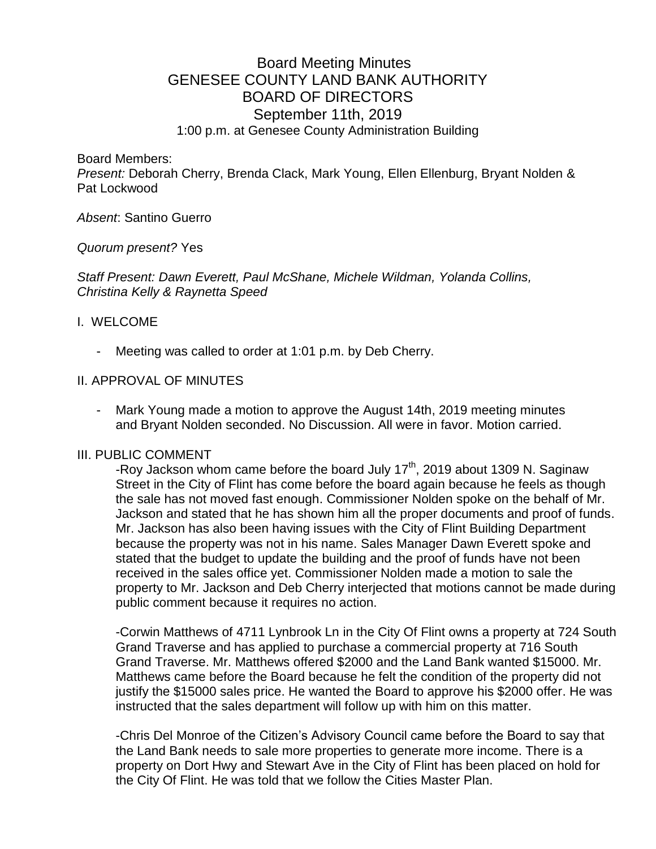# Board Meeting Minutes GENESEE COUNTY LAND BANK AUTHORITY BOARD OF DIRECTORS September 11th, 2019 1:00 p.m. at Genesee County Administration Building

Board Members:

*Present:* Deborah Cherry, Brenda Clack, Mark Young, Ellen Ellenburg, Bryant Nolden & Pat Lockwood

*Absent*: Santino Guerro

*Quorum present?* Yes

*Staff Present: Dawn Everett, Paul McShane, Michele Wildman, Yolanda Collins, Christina Kelly & Raynetta Speed* 

### I. WELCOME

- Meeting was called to order at 1:01 p.m. by Deb Cherry.

### II. APPROVAL OF MINUTES

- Mark Young made a motion to approve the August 14th, 2019 meeting minutes and Bryant Nolden seconded. No Discussion. All were in favor. Motion carried.

### III. PUBLIC COMMENT

-Roy Jackson whom came before the board July  $17<sup>th</sup>$ , 2019 about 1309 N. Saginaw Street in the City of Flint has come before the board again because he feels as though the sale has not moved fast enough. Commissioner Nolden spoke on the behalf of Mr. Jackson and stated that he has shown him all the proper documents and proof of funds. Mr. Jackson has also been having issues with the City of Flint Building Department because the property was not in his name. Sales Manager Dawn Everett spoke and stated that the budget to update the building and the proof of funds have not been received in the sales office yet. Commissioner Nolden made a motion to sale the property to Mr. Jackson and Deb Cherry interjected that motions cannot be made during public comment because it requires no action.

-Corwin Matthews of 4711 Lynbrook Ln in the City Of Flint owns a property at 724 South Grand Traverse and has applied to purchase a commercial property at 716 South Grand Traverse. Mr. Matthews offered \$2000 and the Land Bank wanted \$15000. Mr. Matthews came before the Board because he felt the condition of the property did not justify the \$15000 sales price. He wanted the Board to approve his \$2000 offer. He was instructed that the sales department will follow up with him on this matter.

-Chris Del Monroe of the Citizen's Advisory Council came before the Board to say that the Land Bank needs to sale more properties to generate more income. There is a property on Dort Hwy and Stewart Ave in the City of Flint has been placed on hold for the City Of Flint. He was told that we follow the Cities Master Plan.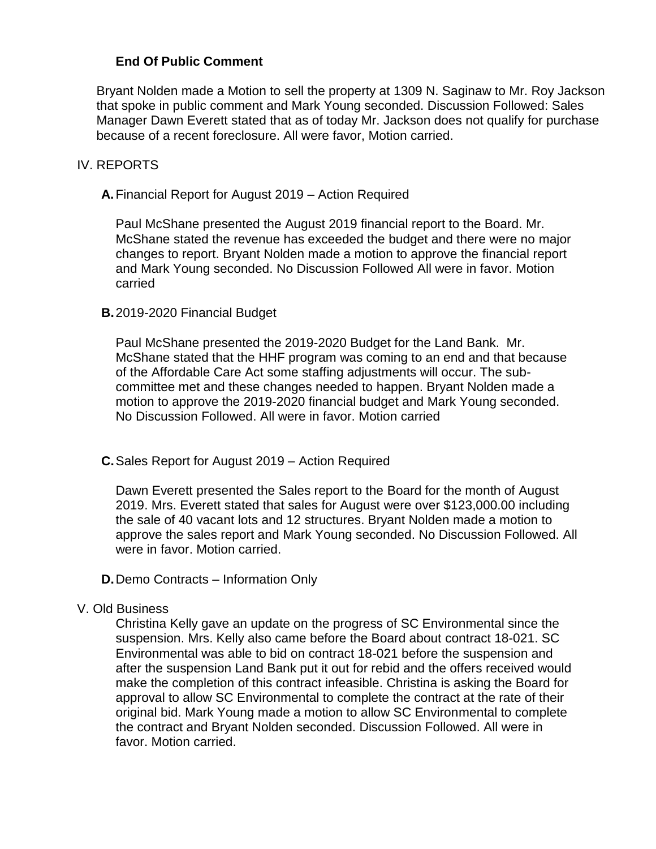### **End Of Public Comment**

Bryant Nolden made a Motion to sell the property at 1309 N. Saginaw to Mr. Roy Jackson that spoke in public comment and Mark Young seconded. Discussion Followed: Sales Manager Dawn Everett stated that as of today Mr. Jackson does not qualify for purchase because of a recent foreclosure. All were favor, Motion carried.

### IV. REPORTS

### **A.**Financial Report for August 2019 – Action Required

Paul McShane presented the August 2019 financial report to the Board. Mr. McShane stated the revenue has exceeded the budget and there were no major changes to report. Bryant Nolden made a motion to approve the financial report and Mark Young seconded. No Discussion Followed All were in favor. Motion carried

### **B.**2019-2020 Financial Budget

Paul McShane presented the 2019-2020 Budget for the Land Bank. Mr. McShane stated that the HHF program was coming to an end and that because of the Affordable Care Act some staffing adjustments will occur. The subcommittee met and these changes needed to happen. Bryant Nolden made a motion to approve the 2019-2020 financial budget and Mark Young seconded. No Discussion Followed. All were in favor. Motion carried

### **C.**Sales Report for August 2019 – Action Required

Dawn Everett presented the Sales report to the Board for the month of August 2019. Mrs. Everett stated that sales for August were over \$123,000.00 including the sale of 40 vacant lots and 12 structures. Bryant Nolden made a motion to approve the sales report and Mark Young seconded. No Discussion Followed. All were in favor. Motion carried.

### **D.**Demo Contracts – Information Only

### V. Old Business

Christina Kelly gave an update on the progress of SC Environmental since the suspension. Mrs. Kelly also came before the Board about contract 18-021. SC Environmental was able to bid on contract 18-021 before the suspension and after the suspension Land Bank put it out for rebid and the offers received would make the completion of this contract infeasible. Christina is asking the Board for approval to allow SC Environmental to complete the contract at the rate of their original bid. Mark Young made a motion to allow SC Environmental to complete the contract and Bryant Nolden seconded. Discussion Followed. All were in favor. Motion carried.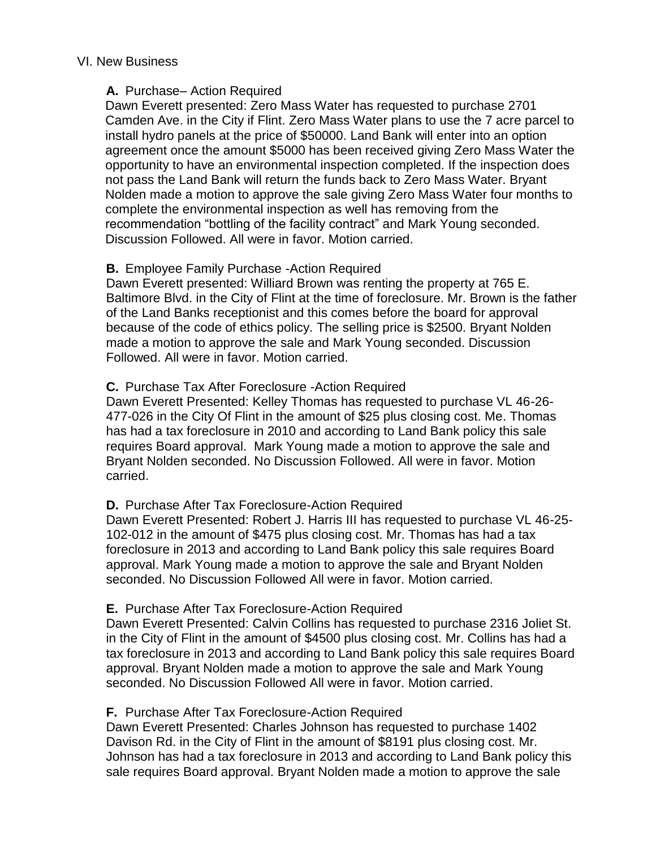### VI. New Business

### **A.** Purchase– Action Required

Dawn Everett presented: Zero Mass Water has requested to purchase 2701 Camden Ave. in the City if Flint. Zero Mass Water plans to use the 7 acre parcel to install hydro panels at the price of \$50000. Land Bank will enter into an option agreement once the amount \$5000 has been received giving Zero Mass Water the opportunity to have an environmental inspection completed. If the inspection does not pass the Land Bank will return the funds back to Zero Mass Water. Bryant Nolden made a motion to approve the sale giving Zero Mass Water four months to complete the environmental inspection as well has removing from the recommendation "bottling of the facility contract" and Mark Young seconded. Discussion Followed. All were in favor. Motion carried.

### **B.** Employee Family Purchase -Action Required

Dawn Everett presented: Williard Brown was renting the property at 765 E. Baltimore Blvd. in the City of Flint at the time of foreclosure. Mr. Brown is the father of the Land Banks receptionist and this comes before the board for approval because of the code of ethics policy. The selling price is \$2500. Bryant Nolden made a motion to approve the sale and Mark Young seconded. Discussion Followed. All were in favor. Motion carried.

### **C.** Purchase Tax After Foreclosure -Action Required

Dawn Everett Presented: Kelley Thomas has requested to purchase VL 46-26- 477-026 in the City Of Flint in the amount of \$25 plus closing cost. Me. Thomas has had a tax foreclosure in 2010 and according to Land Bank policy this sale requires Board approval. Mark Young made a motion to approve the sale and Bryant Nolden seconded. No Discussion Followed. All were in favor. Motion carried.

### **D.** Purchase After Tax Foreclosure-Action Required

Dawn Everett Presented: Robert J. Harris III has requested to purchase VL 46-25- 102-012 in the amount of \$475 plus closing cost. Mr. Thomas has had a tax foreclosure in 2013 and according to Land Bank policy this sale requires Board approval. Mark Young made a motion to approve the sale and Bryant Nolden seconded. No Discussion Followed All were in favor. Motion carried.

### **E.** Purchase After Tax Foreclosure-Action Required

Dawn Everett Presented: Calvin Collins has requested to purchase 2316 Joliet St. in the City of Flint in the amount of \$4500 plus closing cost. Mr. Collins has had a tax foreclosure in 2013 and according to Land Bank policy this sale requires Board approval. Bryant Nolden made a motion to approve the sale and Mark Young seconded. No Discussion Followed All were in favor. Motion carried.

### **F.** Purchase After Tax Foreclosure-Action Required

Dawn Everett Presented: Charles Johnson has requested to purchase 1402 Davison Rd. in the City of Flint in the amount of \$8191 plus closing cost. Mr. Johnson has had a tax foreclosure in 2013 and according to Land Bank policy this sale requires Board approval. Bryant Nolden made a motion to approve the sale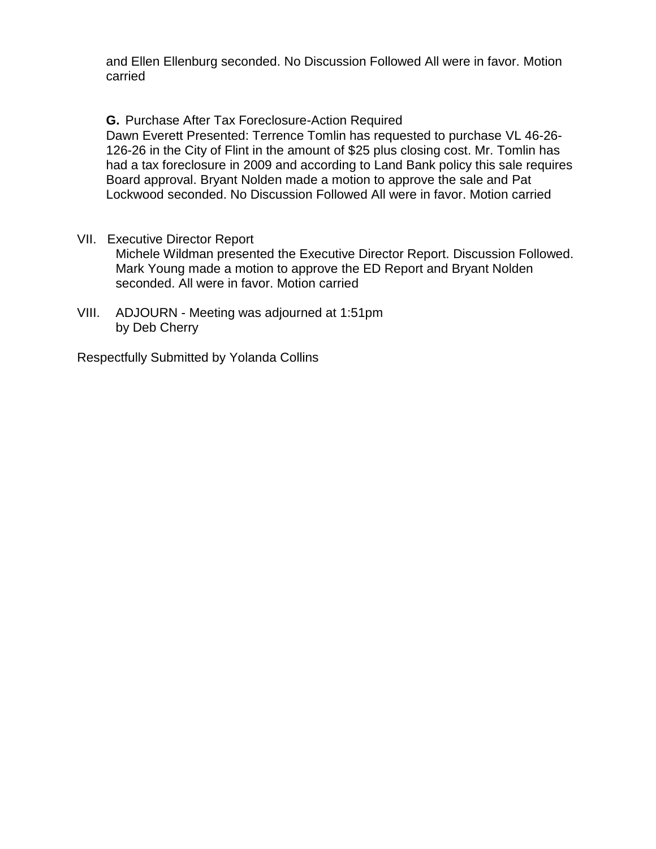and Ellen Ellenburg seconded. No Discussion Followed All were in favor. Motion carried

**G.** Purchase After Tax Foreclosure-Action Required Dawn Everett Presented: Terrence Tomlin has requested to purchase VL 46-26- 126-26 in the City of Flint in the amount of \$25 plus closing cost. Mr. Tomlin has had a tax foreclosure in 2009 and according to Land Bank policy this sale requires Board approval. Bryant Nolden made a motion to approve the sale and Pat Lockwood seconded. No Discussion Followed All were in favor. Motion carried

- VII. Executive Director Report Michele Wildman presented the Executive Director Report. Discussion Followed. Mark Young made a motion to approve the ED Report and Bryant Nolden seconded. All were in favor. Motion carried
- VIII. ADJOURN Meeting was adjourned at 1:51pm by Deb Cherry

Respectfully Submitted by Yolanda Collins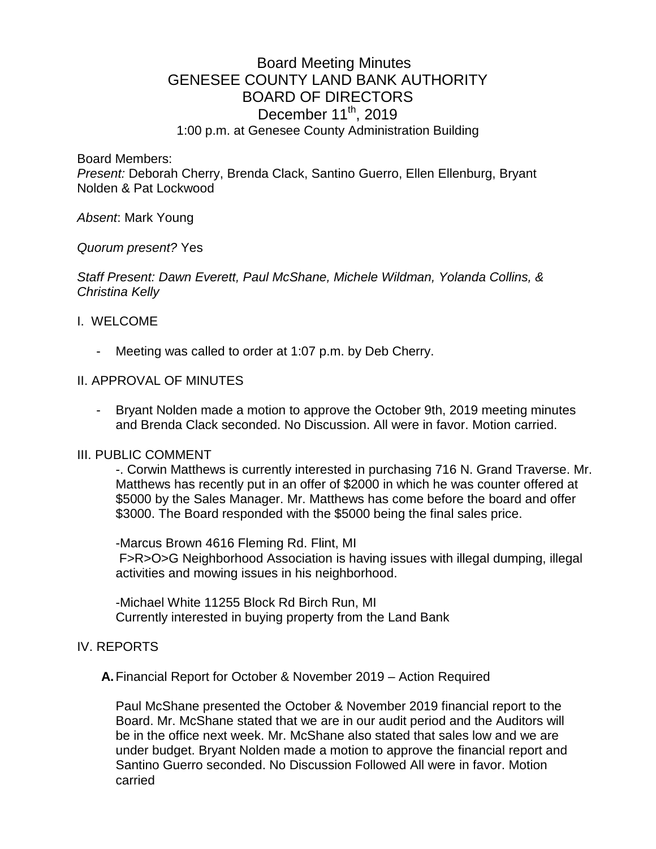# Board Meeting Minutes GENESEE COUNTY LAND BANK AUTHORITY BOARD OF DIRECTORS December  $11^{th}$ , 2019 1:00 p.m. at Genesee County Administration Building

Board Members:

*Present:* Deborah Cherry, Brenda Clack, Santino Guerro, Ellen Ellenburg, Bryant Nolden & Pat Lockwood

### *Absent*: Mark Young

### *Quorum present?* Yes

*Staff Present: Dawn Everett, Paul McShane, Michele Wildman, Yolanda Collins, & Christina Kelly*

### I. WELCOME

Meeting was called to order at 1:07 p.m. by Deb Cherry.

### II. APPROVAL OF MINUTES

- Bryant Nolden made a motion to approve the October 9th, 2019 meeting minutes and Brenda Clack seconded. No Discussion. All were in favor. Motion carried.

### III. PUBLIC COMMENT

-. Corwin Matthews is currently interested in purchasing 716 N. Grand Traverse. Mr. Matthews has recently put in an offer of \$2000 in which he was counter offered at \$5000 by the Sales Manager. Mr. Matthews has come before the board and offer \$3000. The Board responded with the \$5000 being the final sales price.

-Marcus Brown 4616 Fleming Rd. Flint, MI F>R>O>G Neighborhood Association is having issues with illegal dumping, illegal activities and mowing issues in his neighborhood.

-Michael White 11255 Block Rd Birch Run, MI Currently interested in buying property from the Land Bank

### IV. REPORTS

**A.**Financial Report for October & November 2019 – Action Required

Paul McShane presented the October & November 2019 financial report to the Board. Mr. McShane stated that we are in our audit period and the Auditors will be in the office next week. Mr. McShane also stated that sales low and we are under budget. Bryant Nolden made a motion to approve the financial report and Santino Guerro seconded. No Discussion Followed All were in favor. Motion carried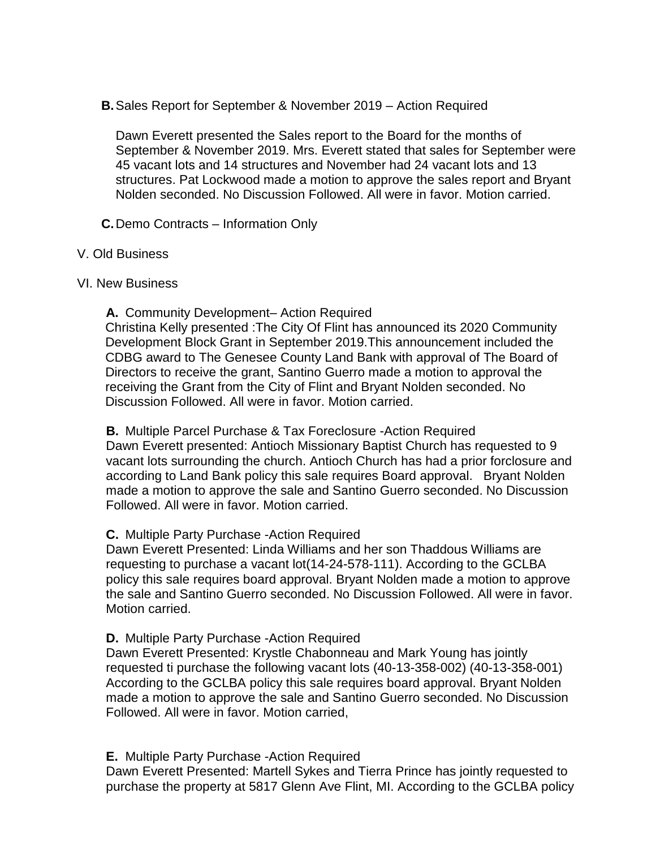**B.**Sales Report for September & November 2019 – Action Required

Dawn Everett presented the Sales report to the Board for the months of September & November 2019. Mrs. Everett stated that sales for September were 45 vacant lots and 14 structures and November had 24 vacant lots and 13 structures. Pat Lockwood made a motion to approve the sales report and Bryant Nolden seconded. No Discussion Followed. All were in favor. Motion carried.

**C.**Demo Contracts – Information Only

### V. Old Business

### VI. New Business

**A.** Community Development– Action Required Christina Kelly presented :The City Of Flint has announced its 2020 Community Development Block Grant in September 2019.This announcement included the CDBG award to The Genesee County Land Bank with approval of The Board of Directors to receive the grant, Santino Guerro made a motion to approval the receiving the Grant from the City of Flint and Bryant Nolden seconded. No Discussion Followed. All were in favor. Motion carried.

**B.** Multiple Parcel Purchase & Tax Foreclosure -Action Required Dawn Everett presented: Antioch Missionary Baptist Church has requested to 9 vacant lots surrounding the church. Antioch Church has had a prior forclosure and according to Land Bank policy this sale requires Board approval. Bryant Nolden made a motion to approve the sale and Santino Guerro seconded. No Discussion Followed. All were in favor. Motion carried.

### **C.** Multiple Party Purchase -Action Required

Dawn Everett Presented: Linda Williams and her son Thaddous Williams are requesting to purchase a vacant lot(14-24-578-111). According to the GCLBA policy this sale requires board approval. Bryant Nolden made a motion to approve the sale and Santino Guerro seconded. No Discussion Followed. All were in favor. Motion carried.

### **D.** Multiple Party Purchase -Action Required

Dawn Everett Presented: Krystle Chabonneau and Mark Young has jointly requested ti purchase the following vacant lots (40-13-358-002) (40-13-358-001) According to the GCLBA policy this sale requires board approval. Bryant Nolden made a motion to approve the sale and Santino Guerro seconded. No Discussion Followed. All were in favor. Motion carried,

### **E.** Multiple Party Purchase -Action Required

Dawn Everett Presented: Martell Sykes and Tierra Prince has jointly requested to purchase the property at 5817 Glenn Ave Flint, MI. According to the GCLBA policy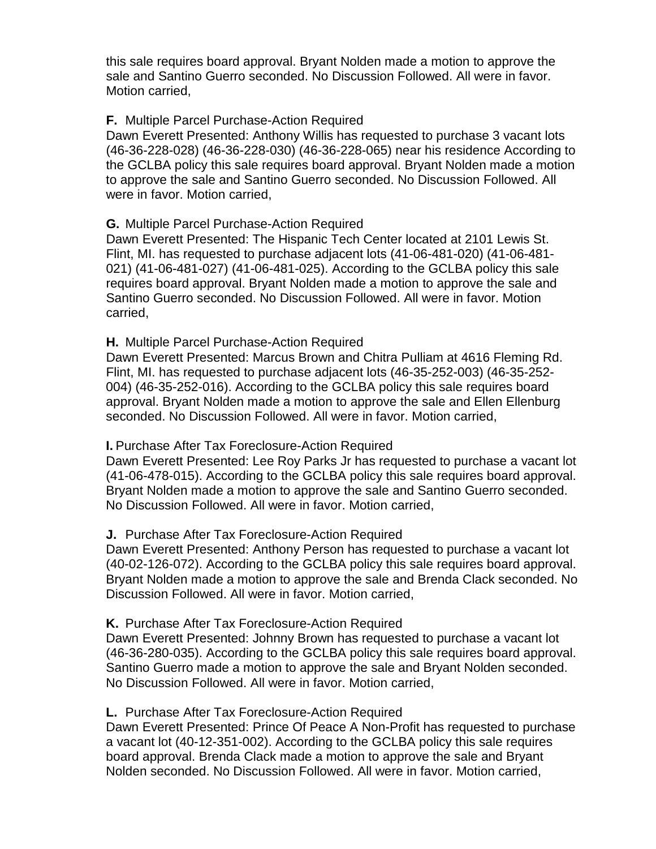this sale requires board approval. Bryant Nolden made a motion to approve the sale and Santino Guerro seconded. No Discussion Followed. All were in favor. Motion carried,

### **F.** Multiple Parcel Purchase-Action Required

Dawn Everett Presented: Anthony Willis has requested to purchase 3 vacant lots (46-36-228-028) (46-36-228-030) (46-36-228-065) near his residence According to the GCLBA policy this sale requires board approval. Bryant Nolden made a motion to approve the sale and Santino Guerro seconded. No Discussion Followed. All were in favor. Motion carried,

### **G.** Multiple Parcel Purchase-Action Required

Dawn Everett Presented: The Hispanic Tech Center located at 2101 Lewis St. Flint, MI. has requested to purchase adjacent lots (41-06-481-020) (41-06-481- 021) (41-06-481-027) (41-06-481-025). According to the GCLBA policy this sale requires board approval. Bryant Nolden made a motion to approve the sale and Santino Guerro seconded. No Discussion Followed. All were in favor. Motion carried,

### **H.** Multiple Parcel Purchase-Action Required

Dawn Everett Presented: Marcus Brown and Chitra Pulliam at 4616 Fleming Rd. Flint, MI. has requested to purchase adjacent lots (46-35-252-003) (46-35-252- 004) (46-35-252-016). According to the GCLBA policy this sale requires board approval. Bryant Nolden made a motion to approve the sale and Ellen Ellenburg seconded. No Discussion Followed. All were in favor. Motion carried,

### **I.** Purchase After Tax Foreclosure-Action Required

Dawn Everett Presented: Lee Roy Parks Jr has requested to purchase a vacant lot (41-06-478-015). According to the GCLBA policy this sale requires board approval. Bryant Nolden made a motion to approve the sale and Santino Guerro seconded. No Discussion Followed. All were in favor. Motion carried,

### **J.** Purchase After Tax Foreclosure-Action Required

Dawn Everett Presented: Anthony Person has requested to purchase a vacant lot (40-02-126-072). According to the GCLBA policy this sale requires board approval. Bryant Nolden made a motion to approve the sale and Brenda Clack seconded. No Discussion Followed. All were in favor. Motion carried,

### **K.** Purchase After Tax Foreclosure-Action Required

Dawn Everett Presented: Johnny Brown has requested to purchase a vacant lot (46-36-280-035). According to the GCLBA policy this sale requires board approval. Santino Guerro made a motion to approve the sale and Bryant Nolden seconded. No Discussion Followed. All were in favor. Motion carried,

### **L.** Purchase After Tax Foreclosure-Action Required

Dawn Everett Presented: Prince Of Peace A Non-Profit has requested to purchase a vacant lot (40-12-351-002). According to the GCLBA policy this sale requires board approval. Brenda Clack made a motion to approve the sale and Bryant Nolden seconded. No Discussion Followed. All were in favor. Motion carried,